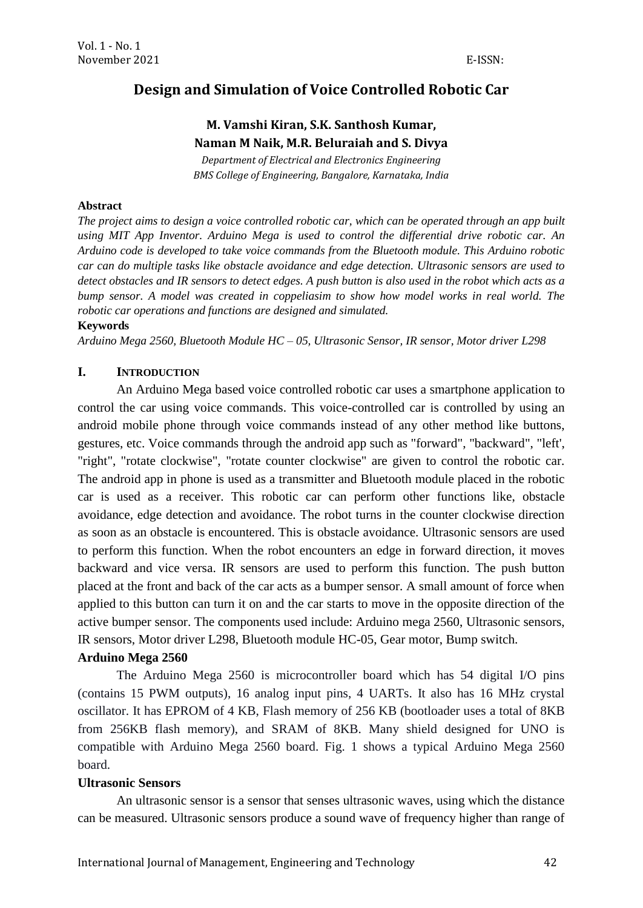# **Design and Simulation of Voice Controlled Robotic Car**

# **M. Vamshi Kiran, S.K. Santhosh Kumar, Naman M Naik, M.R. Beluraiah and S. Divya**

*Department of Electrical and Electronics Engineering BMS College of Engineering, Bangalore, Karnataka, India*

### **Abstract**

*The project aims to design a voice controlled robotic car, which can be operated through an app built using MIT App Inventor. Arduino Mega is used to control the differential drive robotic car. An Arduino code is developed to take voice commands from the Bluetooth module. This Arduino robotic car can do multiple tasks like obstacle avoidance and edge detection. Ultrasonic sensors are used to detect obstacles and IR sensors to detect edges. A push button is also used in the robot which acts as a bump sensor. A model was created in coppeliasim to show how model works in real world. The robotic car operations and functions are designed and simulated.*

#### **Keywords**

*Arduino Mega 2560, Bluetooth Module HC – 05, Ultrasonic Sensor, IR sensor, Motor driver L298*

## **I. INTRODUCTION**

An Arduino Mega based voice controlled robotic car uses a smartphone application to control the car using voice commands. This voice-controlled car is controlled by using an android mobile phone through voice commands instead of any other method like buttons, gestures, etc. Voice commands through the android app such as "forward", "backward", "left', "right", "rotate clockwise", "rotate counter clockwise" are given to control the robotic car. The android app in phone is used as a transmitter and Bluetooth module placed in the robotic car is used as a receiver. This robotic car can perform other functions like, obstacle avoidance, edge detection and avoidance. The robot turns in the counter clockwise direction as soon as an obstacle is encountered. This is obstacle avoidance. Ultrasonic sensors are used to perform this function. When the robot encounters an edge in forward direction, it moves backward and vice versa. IR sensors are used to perform this function. The push button placed at the front and back of the car acts as a bumper sensor. A small amount of force when applied to this button can turn it on and the car starts to move in the opposite direction of the active bumper sensor. The components used include: Arduino mega 2560, Ultrasonic sensors, IR sensors, Motor driver L298, Bluetooth module HC-05, Gear motor, Bump switch.

## **Arduino Mega 2560**

The Arduino Mega 2560 is microcontroller board which has 54 digital I/O pins (contains 15 PWM outputs), 16 analog input pins, 4 UARTs. It also has 16 MHz crystal oscillator. It has EPROM of 4 KB, Flash memory of 256 KB (bootloader uses a total of 8KB from 256KB flash memory), and SRAM of 8KB. Many shield designed for UNO is compatible with Arduino Mega 2560 board. Fig. 1 shows a typical Arduino Mega 2560 board.

#### **Ultrasonic Sensors**

An ultrasonic sensor is a sensor that senses ultrasonic waves, using which the distance can be measured. Ultrasonic sensors produce a sound wave of frequency higher than range of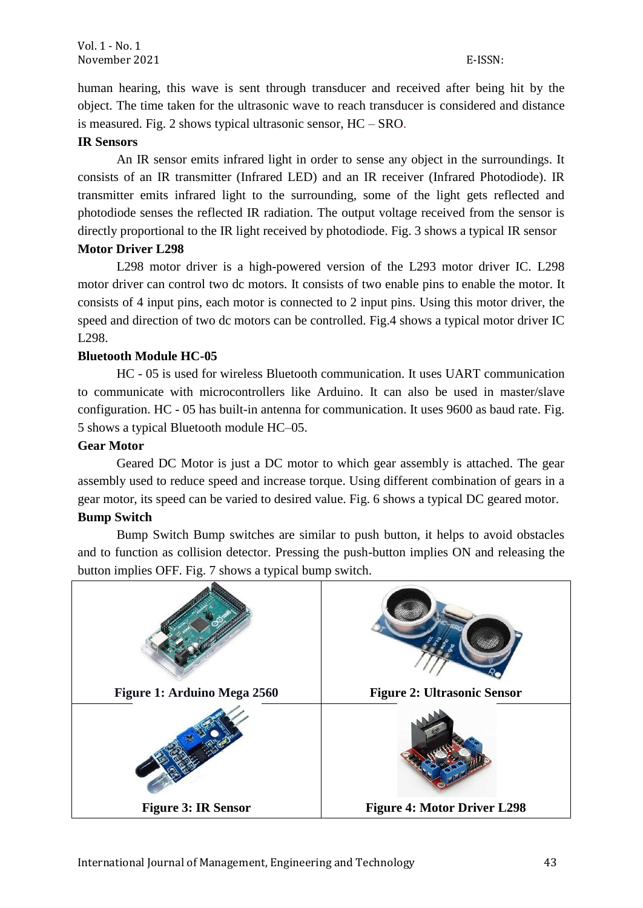human hearing, this wave is sent through transducer and received after being hit by the object. The time taken for the ultrasonic wave to reach transducer is considered and distance is measured. Fig. 2 shows typical ultrasonic sensor, HC – SRO.

## **IR Sensors**

An IR sensor emits infrared light in order to sense any object in the surroundings. It consists of an IR transmitter (Infrared LED) and an IR receiver (Infrared Photodiode). IR transmitter emits infrared light to the surrounding, some of the light gets reflected and photodiode senses the reflected IR radiation. The output voltage received from the sensor is directly proportional to the IR light received by photodiode. Fig. 3 shows a typical IR sensor **Motor Driver L298**

L298 motor driver is a high-powered version of the L293 motor driver IC. L298 motor driver can control two dc motors. It consists of two enable pins to enable the motor. It consists of 4 input pins, each motor is connected to 2 input pins. Using this motor driver, the speed and direction of two dc motors can be controlled. Fig.4 shows a typical motor driver IC L298.

## **Bluetooth Module HC-05**

HC - 05 is used for wireless Bluetooth communication. It uses UART communication to communicate with microcontrollers like Arduino. It can also be used in master/slave configuration. HC - 05 has built-in antenna for communication. It uses 9600 as baud rate. Fig. 5 shows a typical Bluetooth module HC–05.

## **Gear Motor**

Geared DC Motor is just a DC motor to which gear assembly is attached. The gear assembly used to reduce speed and increase torque. Using different combination of gears in a gear motor, its speed can be varied to desired value. Fig. 6 shows a typical DC geared motor.

## **Bump Switch**

Bump Switch Bump switches are similar to push button, it helps to avoid obstacles and to function as collision detector. Pressing the push-button implies ON and releasing the button implies OFF. Fig. 7 shows a typical bump switch.

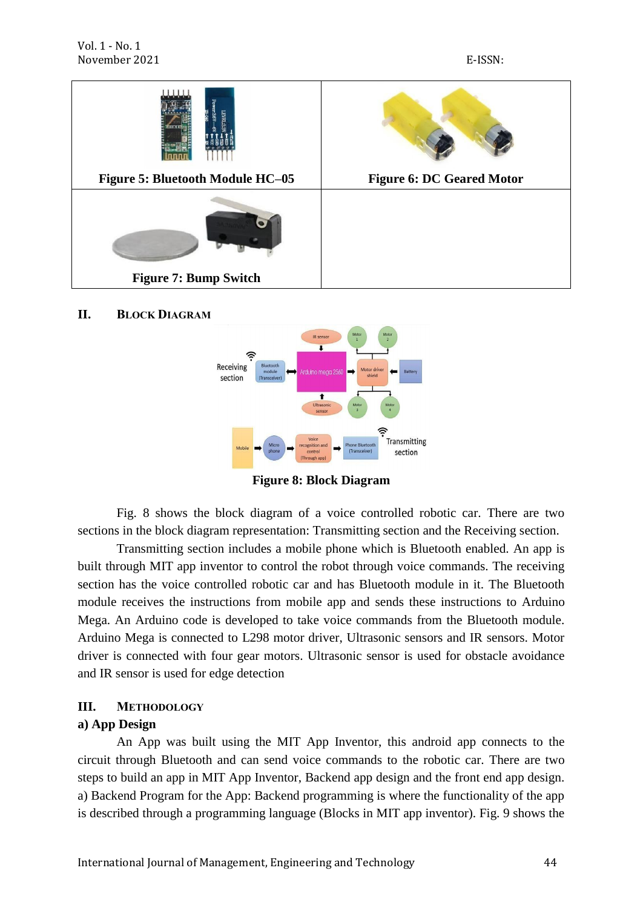

**II. BLOCK DIAGRAM**



**Figure 8: Block Diagram**

Fig. 8 shows the block diagram of a voice controlled robotic car. There are two sections in the block diagram representation: Transmitting section and the Receiving section.

Transmitting section includes a mobile phone which is Bluetooth enabled. An app is built through MIT app inventor to control the robot through voice commands. The receiving section has the voice controlled robotic car and has Bluetooth module in it. The Bluetooth module receives the instructions from mobile app and sends these instructions to Arduino Mega. An Arduino code is developed to take voice commands from the Bluetooth module. Arduino Mega is connected to L298 motor driver, Ultrasonic sensors and IR sensors. Motor driver is connected with four gear motors. Ultrasonic sensor is used for obstacle avoidance and IR sensor is used for edge detection

### **III. METHODOLOGY**

#### **a) App Design**

An App was built using the MIT App Inventor, this android app connects to the circuit through Bluetooth and can send voice commands to the robotic car. There are two steps to build an app in MIT App Inventor, Backend app design and the front end app design. a) Backend Program for the App: Backend programming is where the functionality of the app is described through a programming language (Blocks in MIT app inventor). Fig. 9 shows the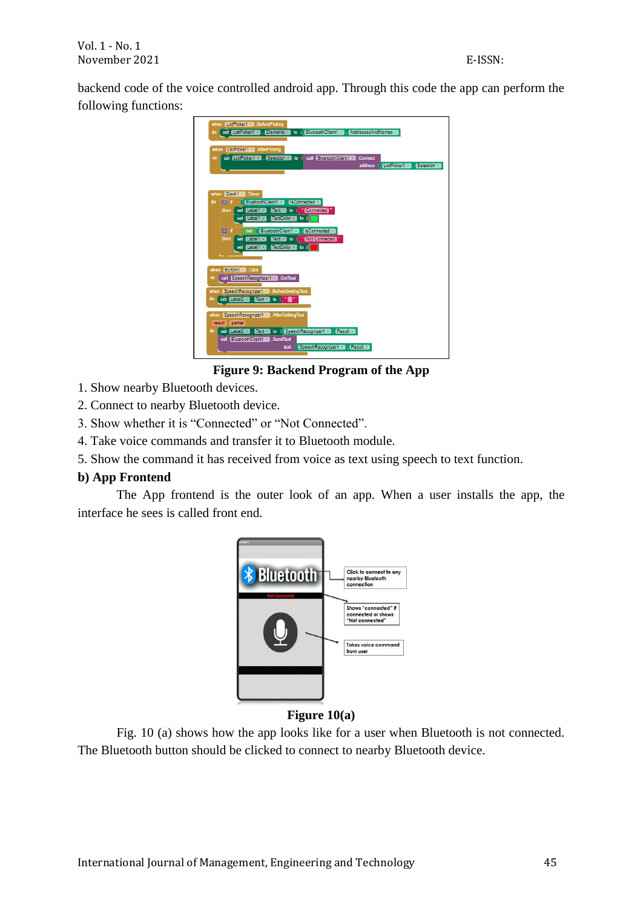backend code of the voice controlled android app. Through this code the app can perform the following functions:



**Figure 9: Backend Program of the App**

- 1. Show nearby Bluetooth devices.
- 2. Connect to nearby Bluetooth device.
- 3. Show whether it is "Connected" or "Not Connected".
- 4. Take voice commands and transfer it to Bluetooth module.
- 5. Show the command it has received from voice as text using speech to text function.

# **b) App Frontend**

The App frontend is the outer look of an app. When a user installs the app, the interface he sees is called front end.



# **Figure 10(a)**

Fig. 10 (a) shows how the app looks like for a user when Bluetooth is not connected. The Bluetooth button should be clicked to connect to nearby Bluetooth device.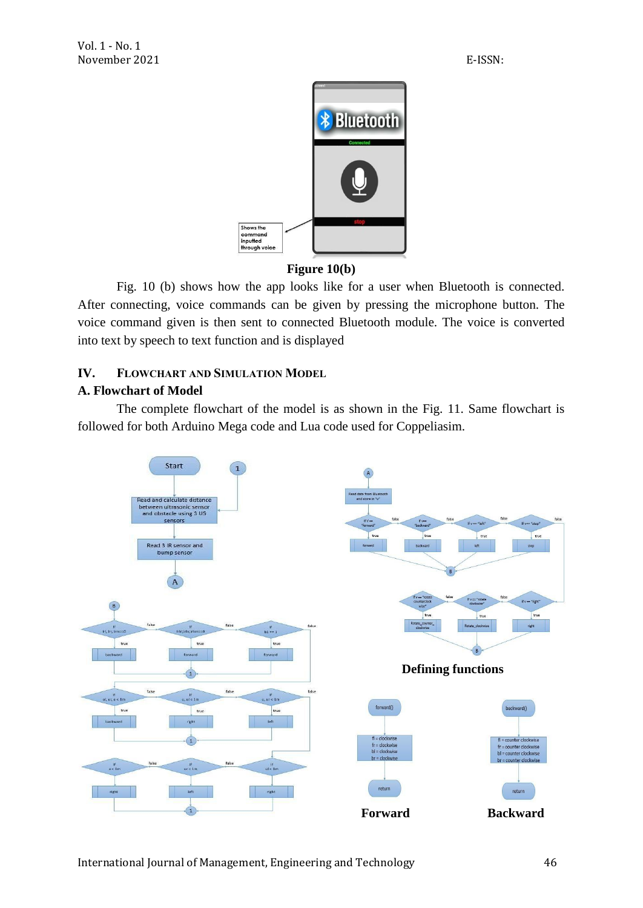

## **Figure 10(b)**

Fig. 10 (b) shows how the app looks like for a user when Bluetooth is connected. After connecting, voice commands can be given by pressing the microphone button. The voice command given is then sent to connected Bluetooth module. The voice is converted into text by speech to text function and is displayed

# **IV. FLOWCHART AND SIMULATION MODEL**

# **A. Flowchart of Model**

The complete flowchart of the model is as shown in the Fig. 11. Same flowchart is followed for both Arduino Mega code and Lua code used for Coppeliasim.

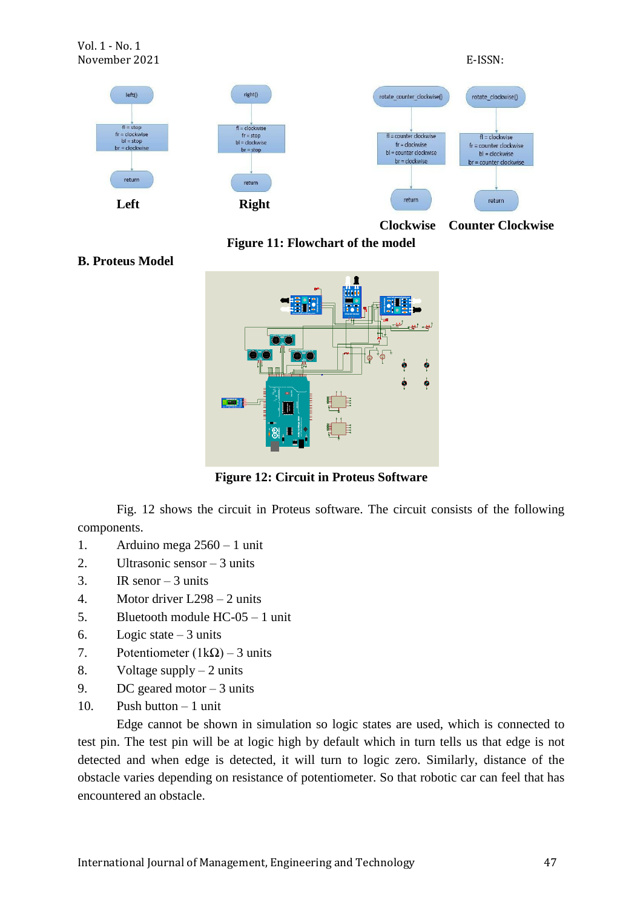

**Clockwise Counter Clockwise**

**Figure 11: Flowchart of the model**

**B. Proteus Model**



**Figure 12: Circuit in Proteus Software**

Fig. 12 shows the circuit in Proteus software. The circuit consists of the following components.

- 1. Arduino mega 2560 1 unit
- 2. Ultrasonic sensor 3 units
- 3. IR senor  $-3$  units
- 4. Motor driver L298 2 units
- 5. Bluetooth module HC-05 1 unit
- 6. Logic state  $-3$  units
- 7. Potentiometer  $(1k\Omega)$  3 units
- 8. Voltage supply  $-2$  units
- 9. DC geared motor  $-3$  units
- 10. Push button 1 unit

Edge cannot be shown in simulation so logic states are used, which is connected to test pin. The test pin will be at logic high by default which in turn tells us that edge is not detected and when edge is detected, it will turn to logic zero. Similarly, distance of the obstacle varies depending on resistance of potentiometer. So that robotic car can feel that has encountered an obstacle.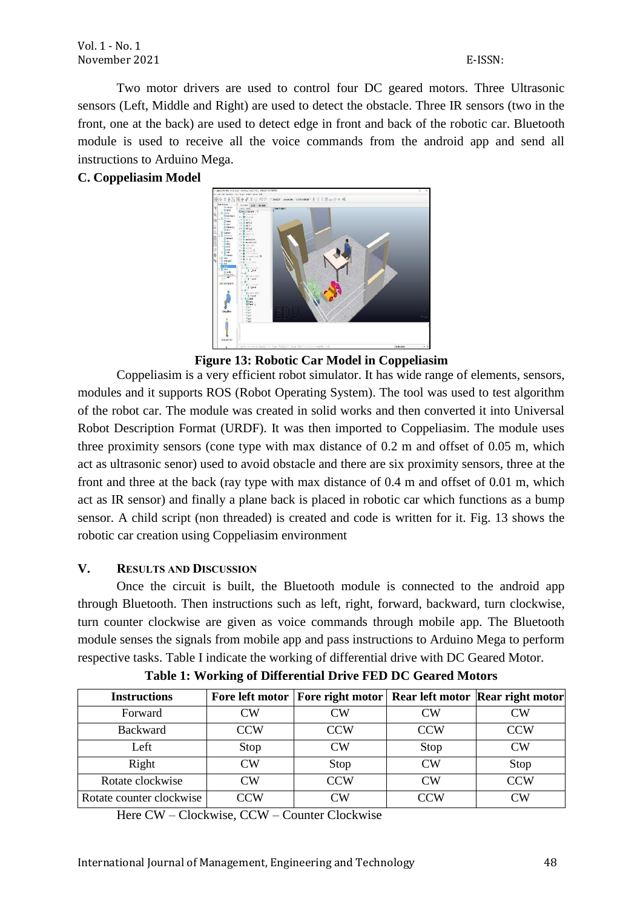Two motor drivers are used to control four DC geared motors. Three Ultrasonic sensors (Left, Middle and Right) are used to detect the obstacle. Three IR sensors (two in the front, one at the back) are used to detect edge in front and back of the robotic car. Bluetooth module is used to receive all the voice commands from the android app and send all instructions to Arduino Mega.

# **C. Coppeliasim Model**



**Figure 13: Robotic Car Model in Coppeliasim**

Coppeliasim is a very efficient robot simulator. It has wide range of elements, sensors, modules and it supports ROS (Robot Operating System). The tool was used to test algorithm of the robot car. The module was created in solid works and then converted it into Universal Robot Description Format (URDF). It was then imported to Coppeliasim. The module uses three proximity sensors (cone type with max distance of 0.2 m and offset of 0.05 m, which act as ultrasonic senor) used to avoid obstacle and there are six proximity sensors, three at the front and three at the back (ray type with max distance of 0.4 m and offset of 0.01 m, which act as IR sensor) and finally a plane back is placed in robotic car which functions as a bump sensor. A child script (non threaded) is created and code is written for it. Fig. 13 shows the robotic car creation using Coppeliasim environment

# **V. RESULTS AND DISCUSSION**

Once the circuit is built, the Bluetooth module is connected to the android app through Bluetooth. Then instructions such as left, right, forward, backward, turn clockwise, turn counter clockwise are given as voice commands through mobile app. The Bluetooth module senses the signals from mobile app and pass instructions to Arduino Mega to perform respective tasks. Table I indicate the working of differential drive with DC Geared Motor.

| <b>Instructions</b>      |                         | Fore left motor   Fore right motor   Rear left motor   Rear right motor |                     |                   |
|--------------------------|-------------------------|-------------------------------------------------------------------------|---------------------|-------------------|
| Forward                  | CW                      | CW                                                                      | CW                  | $\gamma_{\rm W}$  |
| <b>Backward</b>          | <b>CCW</b>              | <b>CCW</b>                                                              | <b>CCW</b>          | CCW               |
| Left                     | Stop                    | CW                                                                      | Stop                | CW                |
| Right                    | $\overline{\rm CW}$     | Stop                                                                    | $\overline{\rm CW}$ | Stop              |
| Rotate clockwise         | CW                      | <b>CCW</b>                                                              | CW                  | <b>CCW</b>        |
| Rotate counter clockwise | $\overline{\text{C}}$ W | CW                                                                      | CCW                 | $\lnot\mathrm{W}$ |

**Table 1: Working of Differential Drive FED DC Geared Motors**

Here CW – Clockwise, CCW – Counter Clockwise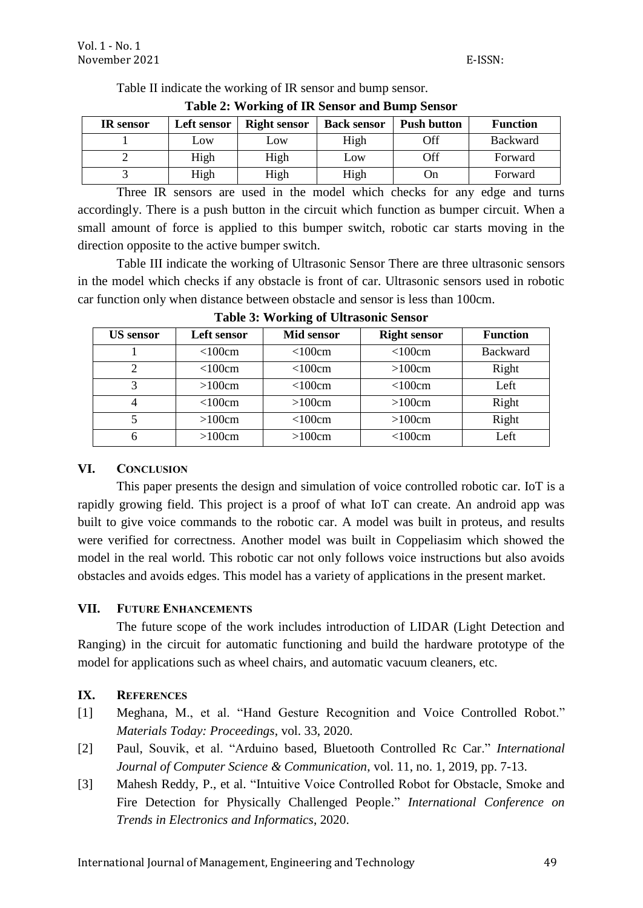| <b>Table 2: Working of IR Sensor and Bump Sensor</b> |             |                     |                    |                    |                 |  |  |  |
|------------------------------------------------------|-------------|---------------------|--------------------|--------------------|-----------------|--|--|--|
| <b>IR</b> sensor                                     | Left sensor | <b>Right sensor</b> | <b>Back sensor</b> | <b>Push button</b> | <b>Function</b> |  |  |  |
|                                                      | LOW         | Low                 | High               | Off                | <b>Backward</b> |  |  |  |
|                                                      | High        | High                | Low                | Off                | Forward         |  |  |  |
|                                                      | High        | High                | High               | On                 | Forward         |  |  |  |

Table II indicate the working of IR sensor and bump sensor.

Three IR sensors are used in the model which checks for any edge and turns accordingly. There is a push button in the circuit which function as bumper circuit. When a small amount of force is applied to this bumper switch, robotic car starts moving in the direction opposite to the active bumper switch.

Table III indicate the working of Ultrasonic Sensor There are three ultrasonic sensors in the model which checks if any obstacle is front of car. Ultrasonic sensors used in robotic car function only when distance between obstacle and sensor is less than 100cm.

| <b>US</b> sensor            | Left sensor | <b>Mid sensor</b> | <b>Right sensor</b> | <b>Function</b> |
|-----------------------------|-------------|-------------------|---------------------|-----------------|
|                             | <100cm      | <100cm            | $<$ 100 $cm$        | <b>Backward</b> |
| $\mathcal{D}_{\mathcal{L}}$ | <100cm      | $<$ 100 $cm$      | >100cm              | Right           |
| 2                           | >100cm      | <100cm            | $<$ 100 $cm$        | Left            |
|                             | <100cm      | >100cm            | >100cm              | Right           |
|                             | >100cm      | $<$ 100 $cm$      | >100cm              | Right           |
| 6                           | >100cm      | >100cm            | $<$ 100 $cm$        | Left            |

**Table 3: Working of Ultrasonic Sensor**

## **VI. CONCLUSION**

This paper presents the design and simulation of voice controlled robotic car. IoT is a rapidly growing field. This project is a proof of what IoT can create. An android app was built to give voice commands to the robotic car. A model was built in proteus, and results were verified for correctness. Another model was built in Coppeliasim which showed the model in the real world. This robotic car not only follows voice instructions but also avoids obstacles and avoids edges. This model has a variety of applications in the present market.

# **VII. FUTURE ENHANCEMENTS**

The future scope of the work includes introduction of LIDAR (Light Detection and Ranging) in the circuit for automatic functioning and build the hardware prototype of the model for applications such as wheel chairs, and automatic vacuum cleaners, etc.

# **IX. REFERENCES**

- [1] Meghana, M., et al. "Hand Gesture Recognition and Voice Controlled Robot." *Materials Today: Proceedings*, vol. 33, 2020.
- [2] Paul, Souvik, et al. "Arduino based, Bluetooth Controlled Rc Car." *International Journal of Computer Science & Communication*, vol. 11, no. 1, 2019, pp. 7-13.
- [3] Mahesh Reddy, P., et al. "Intuitive Voice Controlled Robot for Obstacle, Smoke and Fire Detection for Physically Challenged People." *International Conference on Trends in Electronics and Informatics*, 2020.